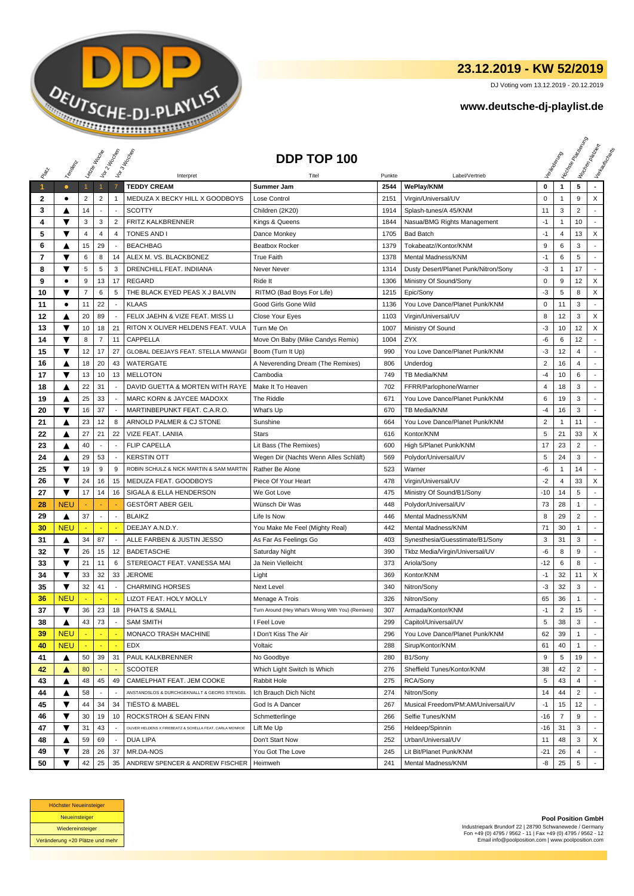

## **23.12.2019 - KW 52/2019**

DJ Voting vom 13.12.2019 - 20.12.2019

## **www.deutsche-dj-playlist.de**

|              |            | Leizie Hoope   |                          | Vor 2 Noon               | Vor 3 Hoopen                                            | DDP TOP 100                                       |        |                                      |                |                | <b>I Yon<sub>do Papi</sub></b> | I Voriginal Priscing<br>Verksunser<br>Mauricina |
|--------------|------------|----------------|--------------------------|--------------------------|---------------------------------------------------------|---------------------------------------------------|--------|--------------------------------------|----------------|----------------|--------------------------------|-------------------------------------------------|
|              | Templative |                |                          |                          | Interpret                                               | Titel                                             | Punkte | Label/Vertrieb                       |                |                |                                |                                                 |
| $\mathbf{1}$ | $\bullet$  | $\mathbf{1}$   | $\overline{1}$           | $\overline{7}$           | <b>TEDDY CREAM</b>                                      | Summer Jam                                        | 2544   | WePlay/KNM                           | 0              | $\mathbf{1}$   | 5                              |                                                 |
| 2            | $\bullet$  | 2              | $\overline{2}$           | $\mathbf{1}$             | MEDUZA X BECKY HILL X GOODBOYS                          | Lose Control                                      | 2151   | Virgin/Universal/UV                  | 0              | 1              | 9                              | X                                               |
| 3            | ▲          | 14             | $\overline{\phantom{a}}$ |                          | <b>SCOTTY</b>                                           | Children (2K20)                                   | 1914   | Splash-tunes/A 45/KNM                | 11             | 3              | $\overline{2}$                 |                                                 |
| 4            | ▼          | 3              | 3                        | $\overline{2}$           | FRITZ KALKBRENNER                                       | Kings & Queens                                    | 1844   | Nasua/BMG Rights Management          | $-1$           | $\mathbf{1}$   | 10                             |                                                 |
| 5            | ▼          | $\overline{4}$ | 4                        | $\overline{4}$           | <b>TONES AND I</b>                                      | Dance Monkey                                      | 1705   | <b>Bad Batch</b>                     | $-1$           | 4              | 13                             | X                                               |
| 6            | ▲          | 15             | 29                       |                          | <b>BEACHBAG</b>                                         | <b>Beatbox Rocker</b>                             | 1379   | Tokabeatz//Kontor/KNM                | 9              | 6              | 3                              |                                                 |
| 7            | ▼          | 6              | 8                        | 14                       | ALEX M. VS. BLACKBONEZ                                  | <b>True Faith</b>                                 | 1378   | Mental Madness/KNM                   | $-1$           | 6              | 5                              |                                                 |
| 8            | ▼          | 5              | 5                        | 3                        | DRENCHILL FEAT. INDIIANA                                | Never Never                                       | 1314   | Dusty Desert/Planet Punk/Nitron/Sony | $-3$           | 1              | 17                             | $\overline{\phantom{a}}$                        |
| 9            | $\bullet$  | 9              | 13                       | 17                       | <b>REGARD</b>                                           | Ride It                                           | 1306   | Ministry Of Sound/Sony               | $\mathbf 0$    | 9              | 12                             | X                                               |
| 10           | ▼          | $\overline{7}$ | 6                        | 5                        | THE BLACK EYED PEAS X J BALVIN                          | RITMO (Bad Boys For Life)                         | 1215   | Epic/Sony                            | $-3$           | 5              | 8                              | X                                               |
| 11           | ٠          | 11             | 22                       | $\sim$                   | <b>KLAAS</b>                                            | Good Girls Gone Wild                              | 1136   | You Love Dance/Planet Punk/KNM       | $\pmb{0}$      | 11             | 3                              | $\overline{\phantom{a}}$                        |
| 12           | ▲          | 20             | 89                       | $\overline{a}$           | FELIX JAEHN & VIZE FEAT. MISS LI                        | Close Your Eyes                                   | 1103   | Virgin/Universal/UV                  | 8              | 12             | 3                              | X                                               |
| 13           | ▼          | 10             | 18                       | 21                       | RITON X OLIVER HELDENS FEAT. VULA                       | Turn Me On                                        | 1007   | Ministry Of Sound                    | -3             | 10             | 12                             | X                                               |
| 14           | ▼          | 8              | $\overline{7}$           | 11                       | CAPPELLA                                                | Move On Baby (Mike Candys Remix)                  | 1004   | <b>ZYX</b>                           | -6             | 6              | 12                             |                                                 |
| 15           | ▼          | 12             | 17                       | 27                       | GLOBAL DEEJAYS FEAT. STELLA MWANGI                      | Boom (Turn It Up)                                 | 990    | You Love Dance/Planet Punk/KNM       | $-3$           | 12             | 4                              |                                                 |
| 16           | ▲          | 18             | 20                       | 43                       | WATERGATE                                               | A Neverending Dream (The Remixes)                 | 806    | Underdog                             | $\overline{2}$ | 16             | 4                              |                                                 |
| 17           | ▼          | 13             | 10                       | 13                       | <b>MELLOTON</b>                                         | Cambodia                                          | 749    | TB Media/KNM                         | $-4$           | 10             | 6                              |                                                 |
| 18           | ▲          | 22             | 31                       | $\overline{\phantom{a}}$ | DAVID GUETTA & MORTEN WITH RAYE                         | Make It To Heaven                                 | 702    | FFRR/Parlophone/Warner               | $\overline{4}$ | 18             | 3                              |                                                 |
| 19           | ▲          | 25             | 33                       |                          | MARC KORN & JAYCEE MADOXX                               | The Riddle                                        | 671    | You Love Dance/Planet Punk/KNM       | 6              | 19             | 3                              |                                                 |
| 20           | ▼          | 16             | 37                       |                          | MARTINBEPUNKT FEAT. C.A.R.O.                            | What's Up                                         | 670    | TB Media/KNM                         | $-4$           | 16             | 3                              | ÷                                               |
| 21           | ▲          | 23             | 12                       | 8                        | ARNOLD PALMER & CJ STONE                                | Sunshine                                          | 664    | You Love Dance/Planet Punk/KNM       | $\overline{2}$ | 1              | 11                             | ٠                                               |
| 22           | ▲          | 27             | 21                       | 22                       | VIZE FEAT. LANIIA                                       | <b>Stars</b>                                      | 616    | Kontor/KNM                           | 5              | 21             | 33                             | X                                               |
| 23           | ▲          | 40             | $\sim$                   | $\overline{a}$           | <b>FLIP CAPELLA</b>                                     | Lit Bass (The Remixes)                            | 600    | High 5/Planet Punk/KNM               | 17             | 23             | $\overline{2}$                 |                                                 |
| 24           | ▲          | 29             | 53                       | $\overline{\phantom{a}}$ | <b>KERSTIN OTT</b>                                      | Wegen Dir (Nachts Wenn Alles Schläft)             | 569    | Polydor/Universal/UV                 | 5              | 24             | 3                              |                                                 |
| 25           | ▼          | 19             | 9                        | 9                        | ROBIN SCHULZ & NICK MARTIN & SAM MARTIN                 | Rather Be Alone                                   | 523    | Warner                               | -6             | 1              | 14                             |                                                 |
| 26           | ▼          | 24             | 16                       | 15                       | MEDUZA FEAT. GOODBOYS                                   | Piece Of Your Heart                               | 478    | Virgin/Universal/UV                  | $-2$           | 4              | 33                             | X                                               |
| 27           | ▼          | 17             | 14                       | 16                       | SIGALA & ELLA HENDERSON                                 | We Got Love                                       | 475    | Ministry Of Sound/B1/Sony            | $-10$          | 14             | 5                              | $\blacksquare$                                  |
| 28           | <b>NEU</b> |                |                          |                          | <b>GESTÖRT ABER GEIL</b>                                | Wünsch Dir Was                                    | 448    | Polydor/Universal/UV                 | 73             | 28             | $\mathbf{1}$                   |                                                 |
| 29           | ▲          | 37             | $\blacksquare$           | $\overline{\phantom{a}}$ | <b>BLAIKZ</b>                                           | Life Is Now                                       | 446    | Mental Madness/KNM                   | 8              | 29             | $\overline{2}$                 |                                                 |
| 30           | <b>NEU</b> |                |                          |                          | DEEJAY A.N.D.Y.                                         | You Make Me Feel (Mighty Real)                    | 442    | Mental Madness/KNM                   | 71             | 30             | 1                              |                                                 |
| 31           | ▲          | 34             | 87                       | $\overline{\phantom{a}}$ | ALLE FARBEN & JUSTIN JESSO                              | As Far As Feelings Go                             | 403    | Synesthesia/Guesstimate/B1/Sony      | 3              | 31             | 3                              |                                                 |
| 32           | ▼          | 26             | 15                       | 12                       | <b>BADETASCHE</b>                                       | Saturday Night                                    | 390    | Tkbz Media/Virgin/Universal/UV       | -6             | 8              | 9                              | $\sim$                                          |
| 33           | ▼          | 21             | 11                       | 6                        | STEREOACT FEAT. VANESSA MAI                             | Ja Nein Vielleicht                                | 373    | Ariola/Sony                          | -12            | 6              | 8                              | $\overline{\phantom{a}}$                        |
| 34           | ▼          | 33             | 32                       | 33                       | <b>JEROME</b>                                           | Light                                             | 369    | Kontor/KNM                           | $-1$           | 32             | 11                             | X                                               |
| 35           | ▼          | 32             | 41                       | $\overline{\phantom{a}}$ | <b>CHARMING HORSES</b>                                  | Next Level                                        | 340    | Nitron/Sony                          | -3             | 32             | 3                              |                                                 |
| 36           | <b>NEU</b> |                |                          |                          | LIZOT FEAT. HOLY MOLLY                                  | Menage A Trois                                    | 326    | Nitron/Sony                          | 65             | 36             | $\mathbf{1}$                   |                                                 |
| 37           | ▼          | 36             | 23                       | 18                       | <b>PHATS &amp; SMALL</b>                                | Turn Around (Hey What's Wrong With You) (Remixes) | 307    | Armada/Kontor/KNM                    | $-1$           | $\overline{2}$ | 15                             | $\sim$                                          |
| 38           | ▲          | 43             | 73                       |                          | <b>SAM SMITH</b>                                        | I Feel Love                                       | 299    | Capitol/Universal/UV                 | 5              | 38             | 3                              |                                                 |
| 39           | <b>NEU</b> |                |                          | ٠.                       | MONACO TRASH MACHINE                                    | I Don't Kiss The Air                              | 296    | You Love Dance/Planet Punk/KNM       | 62             | 39             | $\mathbf{1}$                   |                                                 |
| 40           | <b>NEU</b> |                | $\blacksquare$           | $\blacksquare$           | <b>EDX</b>                                              | Voltaic                                           | 288    | Sirup/Kontor/KNM                     | 61             | 40             | $\mathbf{1}$                   |                                                 |
| 41           | ▲          | 50             | 39                       | 31                       | PAUL KALKBRENNER                                        | No Goodbye                                        | 280    | B1/Sony                              | 9              | 5              | 19                             |                                                 |
| 42           | ▲          | 80             |                          |                          | <b>SCOOTER</b>                                          | Which Light Switch Is Which                       | 276    | Sheffield Tunes/Kontor/KNM           | 38             | 42             | 2                              |                                                 |
| 43           | ▲          | 48             | 45                       | 49                       | CAMELPHAT FEAT. JEM COOKE                               | Rabbit Hole                                       | 275    | RCA/Sony                             | 5              | 43             | 4                              |                                                 |
| 44           | ▲          | 58             |                          |                          | ANSTANDSLOS & DURCHGEKNALLT & GEORG STENGEL             | Ich Brauch Dich Nicht                             | 274    | Nitron/Sony                          | 14             | 44             | $\overline{2}$                 |                                                 |
| 45           | ▼          | 44             | 34                       | 34                       | <b>TIËSTO &amp; MABEL</b>                               | God Is A Dancer                                   | 267    | Musical Freedom/PM:AM/Universal/UV   | $-1$           | 15             | 12                             |                                                 |
| 46           | ▼          | 30             | 19                       | 10                       | ROCKSTROH & SEAN FINN                                   | Schmetterlinge                                    | 266    | Selfie Tunes/KNM                     | $-16$          | $\overline{7}$ | 9                              | $\blacksquare$                                  |
| 47           | ▼          | 31             | 43                       | $\sim$                   | OLIVER HELDENS X FIREBEATZ & SCHELLA FEAT. CARLA MONROE | Lift Me Up                                        | 256    | Heldeep/Spinnin                      | $-16$          | 31             | 3                              |                                                 |
| 48           | ▲          | 59             | 69                       |                          | DUA LIPA                                                | Don't Start Now                                   | 252    | Urban/Universal/UV                   | 11             | 48             | 3                              | X                                               |
| 49           | ▼          | 28             | 26                       | 37                       | MR.DA-NOS                                               | You Got The Love                                  | 245    | Lit Bit/Planet Punk/KNM              | $-21$          | 26             | 4                              |                                                 |
| 50           | ▼          | 42             | 25                       | 35                       | ANDREW SPENCER & ANDREW FISCHER                         | Heimweh                                           | 241    | Mental Madness/KNM                   | -8             | 25             | 5                              |                                                 |



**Pool Position GmbH** Industriepark Brundorf 22 | 28790 Schwanewede / Germany Fon +49 (0) 4795 / 9562 - 11 | Fax +49 (0) 4795 / 9562 - 12 Email info@poolposition.com | www.poolposition.com